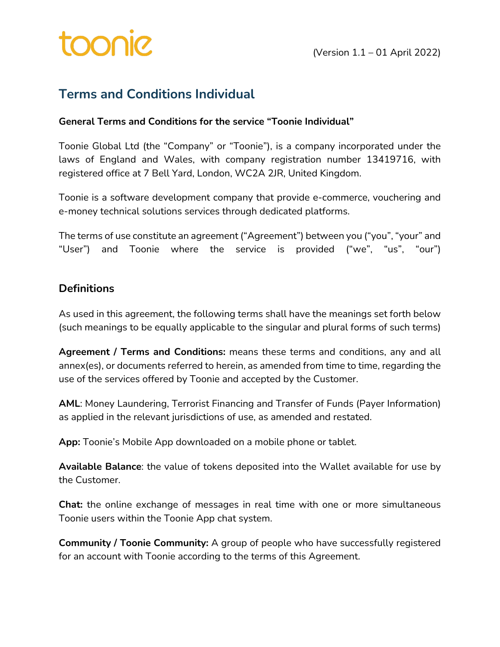### **Terms and Conditions Individual**

#### **General Terms and Conditions for the service "Toonie Individual"**

Toonie Global Ltd (the "Company" or "Toonie"), is a company incorporated under the laws of England and Wales, with company registration number 13419716, with registered office at 7 Bell Yard, London, WC2A 2JR, United Kingdom.

Toonie is a software development company that provide e-commerce, vouchering and e-money technical solutions services through dedicated platforms.

The terms of use constitute an agreement ("Agreement") between you ("you", "your" and "User") and Toonie where the service is provided ("we", "us", "our")

### **Definitions**

As used in this agreement, the following terms shall have the meanings set forth below (such meanings to be equally applicable to the singular and plural forms of such terms)

**Agreement / Terms and Conditions:** means these terms and conditions, any and all annex(es), or documents referred to herein, as amended from time to time, regarding the use of the services offered by Toonie and accepted by the Customer.

**AML**: Money Laundering, Terrorist Financing and Transfer of Funds (Payer Information) as applied in the relevant jurisdictions of use, as amended and restated.

**App:** Toonie's Mobile App downloaded on a mobile phone or tablet.

**Available Balance**: the value of tokens deposited into the Wallet available for use by the Customer.

**Chat:** the online exchange of messages in real time with one or more simultaneous Toonie users within the Toonie App chat system.

**Community / Toonie Community:** A group of people who have successfully registered for an account with Toonie according to the terms of this Agreement.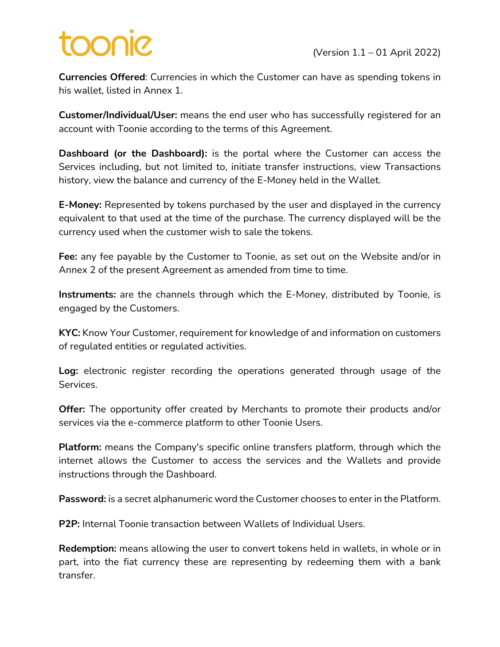# **SINOC**

**Currencies Offered**: Currencies in which the Customer can have as spending tokens in his wallet, listed in Annex 1.

**Customer/Individual/User:** means the end user who has successfully registered for an account with Toonie according to the terms of this Agreement.

**Dashboard (or the Dashboard):** is the portal where the Customer can access the Services including, but not limited to, initiate transfer instructions, view Transactions history, view the balance and currency of the E-Money held in the Wallet.

**E-Money:** Represented by tokens purchased by the user and displayed in the currency equivalent to that used at the time of the purchase. The currency displayed will be the currency used when the customer wish to sale the tokens.

**Fee:** any fee payable by the Customer to Toonie, as set out on the Website and/or in Annex 2 of the present Agreement as amended from time to time.

**Instruments:** are the channels through which the E-Money, distributed by Toonie, is engaged by the Customers.

**KYC:** Know Your Customer, requirement for knowledge of and information on customers of regulated entities or regulated activities.

**Log:** electronic register recording the operations generated through usage of the Services.

**Offer:** The opportunity offer created by Merchants to promote their products and/or services via the e-commerce platform to other Toonie Users.

**Platform:** means the Company's specific online transfers platform, through which the internet allows the Customer to access the services and the Wallets and provide instructions through the Dashboard.

**Password:** is a secret alphanumeric word the Customer chooses to enter in the Platform.

**P2P:** Internal Toonie transaction between Wallets of Individual Users.

**Redemption:** means allowing the user to convert tokens held in wallets, in whole or in part, into the fiat currency these are representing by redeeming them with a bank transfer.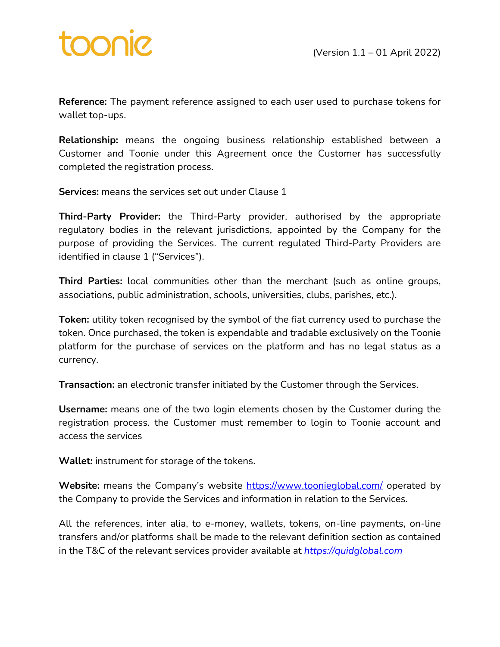**Reference:** The payment reference assigned to each user used to purchase tokens for wallet top-ups.

**Relationship:** means the ongoing business relationship established between a Customer and Toonie under this Agreement once the Customer has successfully completed the registration process.

**Services:** means the services set out under Clause 1

**Third-Party Provider:** the Third-Party provider, authorised by the appropriate regulatory bodies in the relevant jurisdictions, appointed by the Company for the purpose of providing the Services. The current regulated Third-Party Providers are identified in clause 1 ("Services").

**Third Parties:** local communities other than the merchant (such as online groups, associations, public administration, schools, universities, clubs, parishes, etc.).

**Token:** utility token recognised by the symbol of the fiat currency used to purchase the token. Once purchased, the token is expendable and tradable exclusively on the Toonie platform for the purchase of services on the platform and has no legal status as a currency.

**Transaction:** an electronic transfer initiated by the Customer through the Services.

**Username:** means one of the two login elements chosen by the Customer during the registration process. the Customer must remember to login to Toonie account and access the services

**Wallet:** instrument for storage of the tokens.

**Website:** means the Company's website https://www.toonieglobal.com/ operated by the Company to provide the Services and information in relation to the Services.

All the references, inter alia, to e-money, wallets, tokens, on-line payments, on-line transfers and/or platforms shall be made to the relevant definition section as contained in the T&C of the relevant services provider available at *https://quidglobal.com*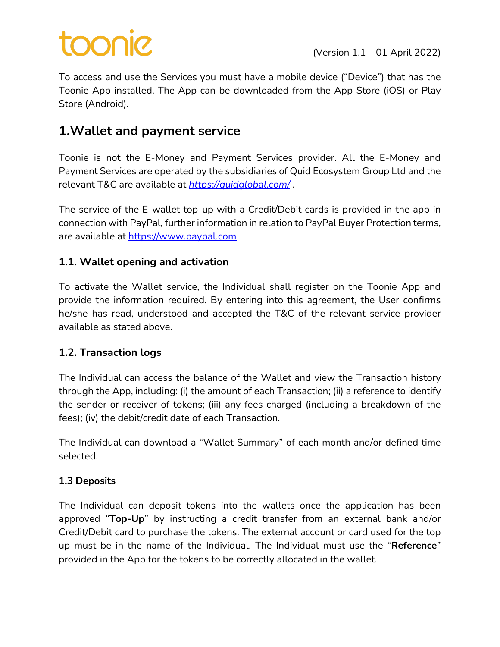# **DOOO**

To access and use the Services you must have a mobile device ("Device") that has the Toonie App installed. The App can be downloaded from the App Store (iOS) or Play Store (Android).

## **1.Wallet and payment service**

Toonie is not the E-Money and Payment Services provider. All the E-Money and Payment Services are operated by the subsidiaries of Quid Ecosystem Group Ltd and the relevant T&C are available at *https://quidglobal.com/* .

The service of the E-wallet top-up with a Credit/Debit cards is provided in the app in connection with PayPal, further information in relation to PayPal Buyer Protection terms, are available at https://www.paypal.com

### **1.1. Wallet opening and activation**

To activate the Wallet service, the Individual shall register on the Toonie App and provide the information required. By entering into this agreement, the User confirms he/she has read, understood and accepted the T&C of the relevant service provider available as stated above.

### **1.2. Transaction logs**

The Individual can access the balance of the Wallet and view the Transaction history through the App, including: (i) the amount of each Transaction; (ii) a reference to identify the sender or receiver of tokens; (iii) any fees charged (including a breakdown of the fees); (iv) the debit/credit date of each Transaction.

The Individual can download a "Wallet Summary" of each month and/or defined time selected.

### **1.3 Deposits**

The Individual can deposit tokens into the wallets once the application has been approved "**Top-Up**" by instructing a credit transfer from an external bank and/or Credit/Debit card to purchase the tokens. The external account or card used for the top up must be in the name of the Individual. The Individual must use the "**Reference**" provided in the App for the tokens to be correctly allocated in the wallet.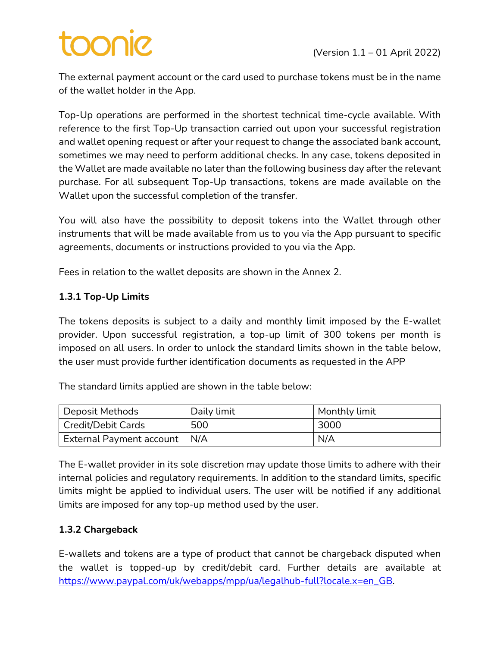# pinoo

The external payment account or the card used to purchase tokens must be in the name of the wallet holder in the App.

Top-Up operations are performed in the shortest technical time-cycle available. With reference to the first Top-Up transaction carried out upon your successful registration and wallet opening request or after your request to change the associated bank account, sometimes we may need to perform additional checks. In any case, tokens deposited in the Wallet are made available no later than the following business day after the relevant purchase. For all subsequent Top-Up transactions, tokens are made available on the Wallet upon the successful completion of the transfer.

You will also have the possibility to deposit tokens into the Wallet through other instruments that will be made available from us to you via the App pursuant to specific agreements, documents or instructions provided to you via the App.

Fees in relation to the wallet deposits are shown in the Annex 2.

#### **1.3.1 Top-Up Limits**

The tokens deposits is subject to a daily and monthly limit imposed by the E-wallet provider. Upon successful registration, a top-up limit of 300 tokens per month is imposed on all users. In order to unlock the standard limits shown in the table below, the user must provide further identification documents as requested in the APP

The standard limits applied are shown in the table below:

| Deposit Methods                | Daily limit | Monthly limit |
|--------------------------------|-------------|---------------|
| <b>Credit/Debit Cards</b>      | 500         | 3000          |
| External Payment account   N/A |             | N/A           |

The E-wallet provider in its sole discretion may update those limits to adhere with their internal policies and regulatory requirements. In addition to the standard limits, specific limits might be applied to individual users. The user will be notified if any additional limits are imposed for any top-up method used by the user.

#### **1.3.2 Chargeback**

E-wallets and tokens are a type of product that cannot be chargeback disputed when the wallet is topped-up by credit/debit card. Further details are available at https://www.paypal.com/uk/webapps/mpp/ua/legalhub-full?locale.x=en\_GB.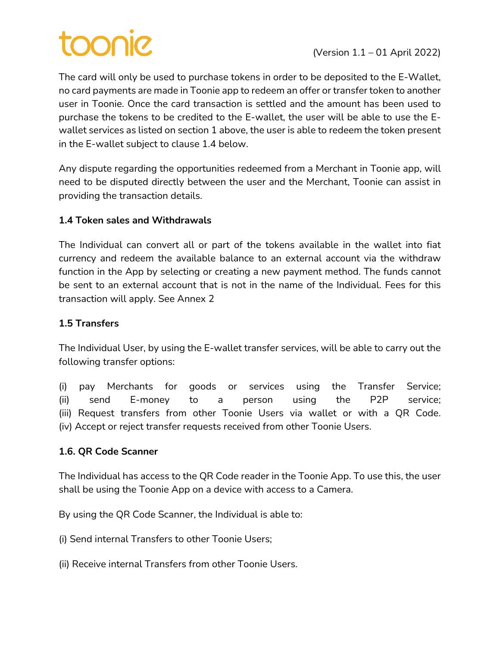# **SINOC**

The card will only be used to purchase tokens in order to be deposited to the E-Wallet, no card payments are made in Toonie app to redeem an offer or transfer token to another user in Toonie. Once the card transaction is settled and the amount has been used to purchase the tokens to be credited to the E-wallet, the user will be able to use the Ewallet services as listed on section 1 above, the user is able to redeem the token present in the E-wallet subject to clause 1.4 below.

Any dispute regarding the opportunities redeemed from a Merchant in Toonie app, will need to be disputed directly between the user and the Merchant, Toonie can assist in providing the transaction details.

### **1.4 Token sales and Withdrawals**

The Individual can convert all or part of the tokens available in the wallet into fiat currency and redeem the available balance to an external account via the withdraw function in the App by selecting or creating a new payment method. The funds cannot be sent to an external account that is not in the name of the Individual. Fees for this transaction will apply. See Annex 2

### **1.5 Transfers**

The Individual User, by using the E-wallet transfer services, will be able to carry out the following transfer options:

(i) pay Merchants for goods or services using the Transfer Service; (ii) send E-money to a person using the P2P service; (iii) Request transfers from other Toonie Users via wallet or with a QR Code. (iv) Accept or reject transfer requests received from other Toonie Users.

### **1.6. QR Code Scanner**

The Individual has access to the QR Code reader in the Toonie App. To use this, the user shall be using the Toonie App on a device with access to a Camera.

By using the QR Code Scanner, the Individual is able to:

(i) Send internal Transfers to other Toonie Users;

(ii) Receive internal Transfers from other Toonie Users.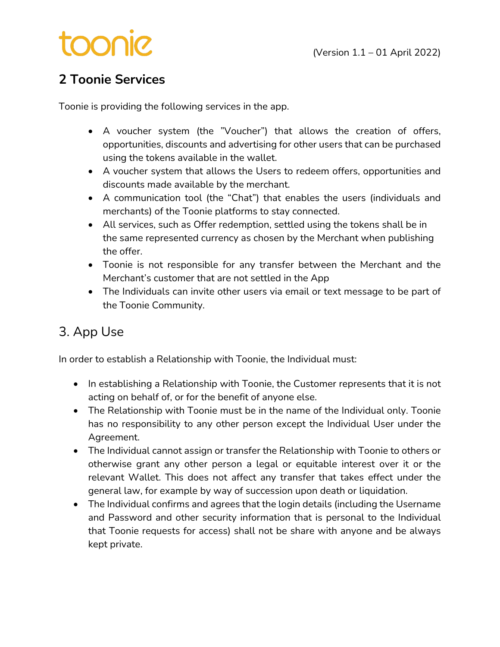# toonie

# **2 Toonie Services**

Toonie is providing the following services in the app.

- A voucher system (the "Voucher") that allows the creation of offers, opportunities, discounts and advertising for other users that can be purchased using the tokens available in the wallet.
- A voucher system that allows the Users to redeem offers, opportunities and discounts made available by the merchant.
- A communication tool (the "Chat") that enables the users (individuals and merchants) of the Toonie platforms to stay connected.
- All services, such as Offer redemption, settled using the tokens shall be in the same represented currency as chosen by the Merchant when publishing the offer.
- Toonie is not responsible for any transfer between the Merchant and the Merchant's customer that are not settled in the App
- The Individuals can invite other users via email or text message to be part of the Toonie Community.

# 3. App Use

In order to establish a Relationship with Toonie, the Individual must:

- In establishing a Relationship with Toonie, the Customer represents that it is not acting on behalf of, or for the benefit of anyone else.
- The Relationship with Toonie must be in the name of the Individual only. Toonie has no responsibility to any other person except the Individual User under the Agreement.
- The Individual cannot assign or transfer the Relationship with Toonie to others or otherwise grant any other person a legal or equitable interest over it or the relevant Wallet. This does not affect any transfer that takes effect under the general law, for example by way of succession upon death or liquidation.
- The Individual confirms and agrees that the login details (including the Username and Password and other security information that is personal to the Individual that Toonie requests for access) shall not be share with anyone and be always kept private.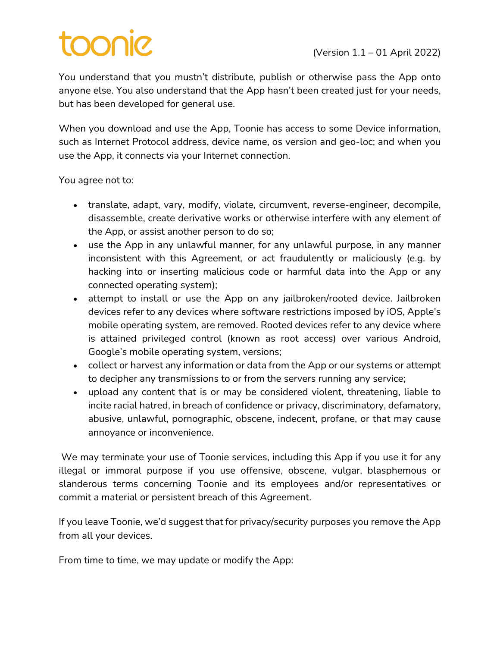# toonic

You understand that you mustn't distribute, publish or otherwise pass the App onto anyone else. You also understand that the App hasn't been created just for your needs, but has been developed for general use.

When you download and use the App, Toonie has access to some Device information, such as Internet Protocol address, device name, os version and geo-loc; and when you use the App, it connects via your Internet connection.

You agree not to:

- translate, adapt, vary, modify, violate, circumvent, reverse-engineer, decompile, disassemble, create derivative works or otherwise interfere with any element of the App, or assist another person to do so;
- use the App in any unlawful manner, for any unlawful purpose, in any manner inconsistent with this Agreement, or act fraudulently or maliciously (e.g. by hacking into or inserting malicious code or harmful data into the App or any connected operating system);
- attempt to install or use the App on any jailbroken/rooted device. Jailbroken devices refer to any devices where software restrictions imposed by iOS, Apple's mobile operating system, are removed. Rooted devices refer to any device where is attained privileged control (known as root access) over various Android, Google's mobile operating system, versions;
- collect or harvest any information or data from the App or our systems or attempt to decipher any transmissions to or from the servers running any service;
- upload any content that is or may be considered violent, threatening, liable to incite racial hatred, in breach of confidence or privacy, discriminatory, defamatory, abusive, unlawful, pornographic, obscene, indecent, profane, or that may cause annoyance or inconvenience.

We may terminate your use of Toonie services, including this App if you use it for any illegal or immoral purpose if you use offensive, obscene, vulgar, blasphemous or slanderous terms concerning Toonie and its employees and/or representatives or commit a material or persistent breach of this Agreement.

If you leave Toonie, we'd suggest that for privacy/security purposes you remove the App from all your devices.

From time to time, we may update or modify the App: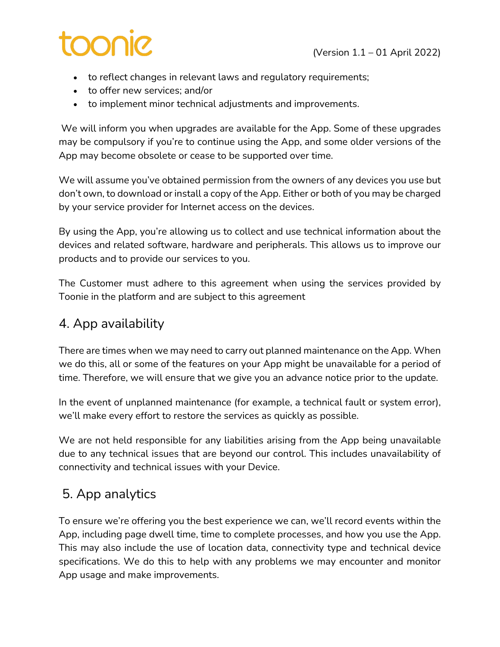# **DOOO**

- to reflect changes in relevant laws and regulatory requirements;
- to offer new services; and/or
- to implement minor technical adjustments and improvements.

We will inform you when upgrades are available for the App. Some of these upgrades may be compulsory if you're to continue using the App, and some older versions of the App may become obsolete or cease to be supported over time.

We will assume you've obtained permission from the owners of any devices you use but don't own, to download or install a copy of the App. Either or both of you may be charged by your service provider for Internet access on the devices.

By using the App, you're allowing us to collect and use technical information about the devices and related software, hardware and peripherals. This allows us to improve our products and to provide our services to you.

The Customer must adhere to this agreement when using the services provided by Toonie in the platform and are subject to this agreement

# 4. App availability

There are times when we may need to carry out planned maintenance on the App. When we do this, all or some of the features on your App might be unavailable for a period of time. Therefore, we will ensure that we give you an advance notice prior to the update.

In the event of unplanned maintenance (for example, a technical fault or system error), we'll make every effort to restore the services as quickly as possible.

We are not held responsible for any liabilities arising from the App being unavailable due to any technical issues that are beyond our control. This includes unavailability of connectivity and technical issues with your Device.

# 5. App analytics

To ensure we're offering you the best experience we can, we'll record events within the App, including page dwell time, time to complete processes, and how you use the App. This may also include the use of location data, connectivity type and technical device specifications. We do this to help with any problems we may encounter and monitor App usage and make improvements.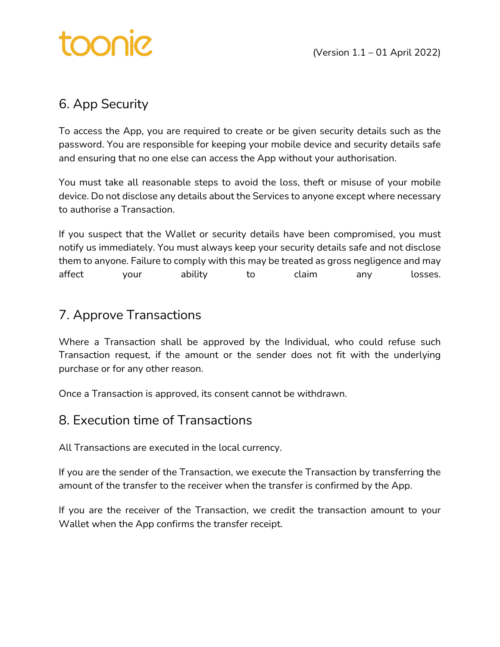

# 6. App Security

To access the App, you are required to create or be given security details such as the password. You are responsible for keeping your mobile device and security details safe and ensuring that no one else can access the App without your authorisation.

You must take all reasonable steps to avoid the loss, theft or misuse of your mobile device. Do not disclose any details about the Services to anyone except where necessary to authorise a Transaction.

If you suspect that the Wallet or security details have been compromised, you must notify us immediately. You must always keep your security details safe and not disclose them to anyone. Failure to comply with this may be treated as gross negligence and may affect your ability to claim any losses.

# 7. Approve Transactions

Where a Transaction shall be approved by the Individual, who could refuse such Transaction request, if the amount or the sender does not fit with the underlying purchase or for any other reason.

Once a Transaction is approved, its consent cannot be withdrawn.

### 8. Execution time of Transactions

All Transactions are executed in the local currency.

If you are the sender of the Transaction, we execute the Transaction by transferring the amount of the transfer to the receiver when the transfer is confirmed by the App.

If you are the receiver of the Transaction, we credit the transaction amount to your Wallet when the App confirms the transfer receipt.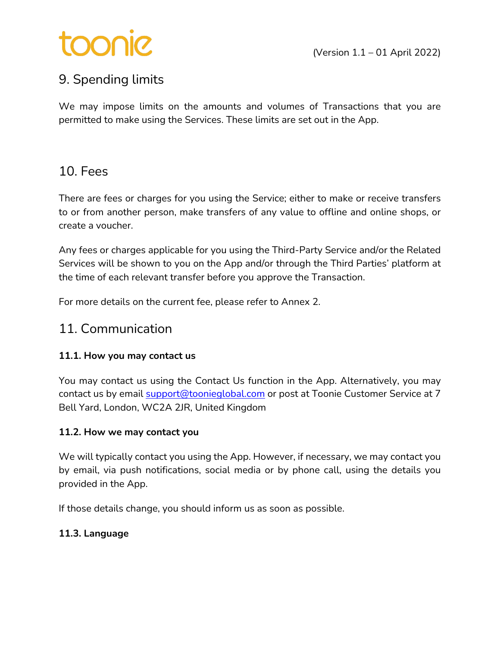# Sinoc

# 9. Spending limits

We may impose limits on the amounts and volumes of Transactions that you are permitted to make using the Services. These limits are set out in the App.

### 10. Fees

There are fees or charges for you using the Service; either to make or receive transfers to or from another person, make transfers of any value to offline and online shops, or create a voucher.

Any fees or charges applicable for you using the Third-Party Service and/or the Related Services will be shown to you on the App and/or through the Third Parties' platform at the time of each relevant transfer before you approve the Transaction.

For more details on the current fee, please refer to Annex 2.

### 11. Communication

### **11.1. How you may contact us**

You may contact us using the Contact Us function in the App. Alternatively, you may contact us by email support@toonieglobal.com or post at Toonie Customer Service at 7 Bell Yard, London, WC2A 2JR, United Kingdom

#### **11.2. How we may contact you**

We will typically contact you using the App. However, if necessary, we may contact you by email, via push notifications, social media or by phone call, using the details you provided in the App.

If those details change, you should inform us as soon as possible.

### **11.3. Language**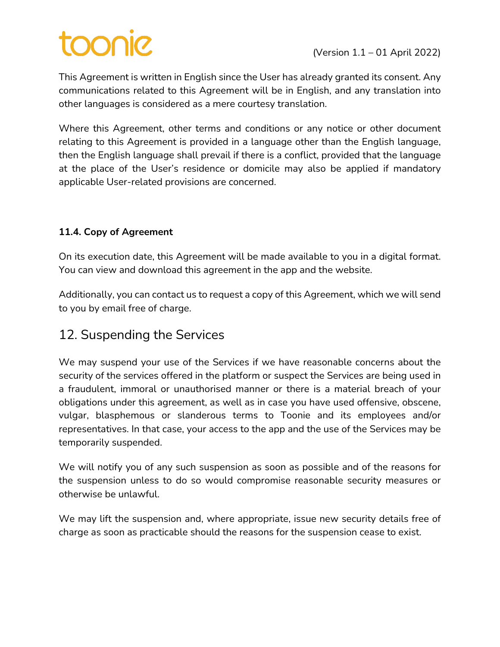# toonie

This Agreement is written in English since the User has already granted its consent. Any communications related to this Agreement will be in English, and any translation into other languages is considered as a mere courtesy translation.

Where this Agreement, other terms and conditions or any notice or other document relating to this Agreement is provided in a language other than the English language, then the English language shall prevail if there is a conflict, provided that the language at the place of the User's residence or domicile may also be applied if mandatory applicable User-related provisions are concerned.

### **11.4. Copy of Agreement**

On its execution date, this Agreement will be made available to you in a digital format. You can view and download this agreement in the app and the website.

Additionally, you can contact us to request a copy of this Agreement, which we will send to you by email free of charge.

### 12. Suspending the Services

We may suspend your use of the Services if we have reasonable concerns about the security of the services offered in the platform or suspect the Services are being used in a fraudulent, immoral or unauthorised manner or there is a material breach of your obligations under this agreement, as well as in case you have used offensive, obscene, vulgar, blasphemous or slanderous terms to Toonie and its employees and/or representatives. In that case, your access to the app and the use of the Services may be temporarily suspended.

We will notify you of any such suspension as soon as possible and of the reasons for the suspension unless to do so would compromise reasonable security measures or otherwise be unlawful.

We may lift the suspension and, where appropriate, issue new security details free of charge as soon as practicable should the reasons for the suspension cease to exist.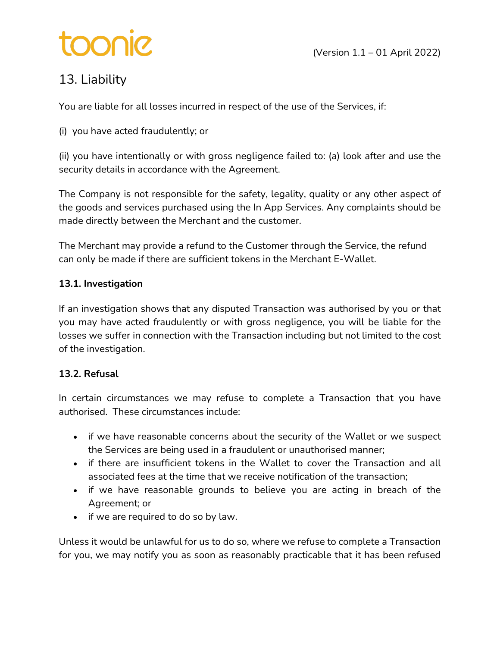# toonic

# 13. Liability

You are liable for all losses incurred in respect of the use of the Services, if:

(i) you have acted fraudulently; or

(ii) you have intentionally or with gross negligence failed to: (a) look after and use the security details in accordance with the Agreement.

The Company is not responsible for the safety, legality, quality or any other aspect of the goods and services purchased using the In App Services. Any complaints should be made directly between the Merchant and the customer.

The Merchant may provide a refund to the Customer through the Service, the refund can only be made if there are sufficient tokens in the Merchant E-Wallet.

#### **13.1. Investigation**

If an investigation shows that any disputed Transaction was authorised by you or that you may have acted fraudulently or with gross negligence, you will be liable for the losses we suffer in connection with the Transaction including but not limited to the cost of the investigation.

### **13.2. Refusal**

In certain circumstances we may refuse to complete a Transaction that you have authorised. These circumstances include:

- if we have reasonable concerns about the security of the Wallet or we suspect the Services are being used in a fraudulent or unauthorised manner;
- if there are insufficient tokens in the Wallet to cover the Transaction and all associated fees at the time that we receive notification of the transaction;
- if we have reasonable grounds to believe you are acting in breach of the Agreement; or
- if we are required to do so by law.

Unless it would be unlawful for us to do so, where we refuse to complete a Transaction for you, we may notify you as soon as reasonably practicable that it has been refused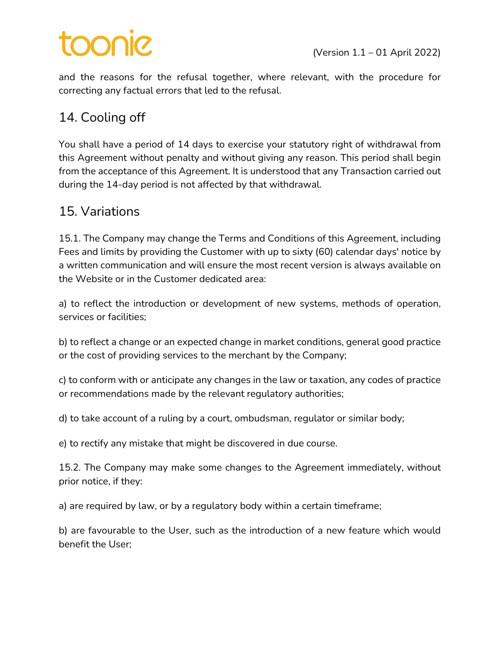# **Sinoc**

and the reasons for the refusal together, where relevant, with the procedure for correcting any factual errors that led to the refusal.

# 14. Cooling off

You shall have a period of 14 days to exercise your statutory right of withdrawal from this Agreement without penalty and without giving any reason. This period shall begin from the acceptance of this Agreement. It is understood that any Transaction carried out during the 14-day period is not affected by that withdrawal.

### 15. Variations

15.1. The Company may change the Terms and Conditions of this Agreement, including Fees and limits by providing the Customer with up to sixty (60) calendar days' notice by a written communication and will ensure the most recent version is always available on the Website or in the Customer dedicated area:

a) to reflect the introduction or development of new systems, methods of operation, services or facilities;

b) to reflect a change or an expected change in market conditions, general good practice or the cost of providing services to the merchant by the Company;

c) to conform with or anticipate any changes in the law or taxation, any codes of practice or recommendations made by the relevant regulatory authorities;

d) to take account of a ruling by a court, ombudsman, regulator or similar body;

e) to rectify any mistake that might be discovered in due course.

15.2. The Company may make some changes to the Agreement immediately, without prior notice, if they:

a) are required by law, or by a regulatory body within a certain timeframe;

b) are favourable to the User, such as the introduction of a new feature which would benefit the User;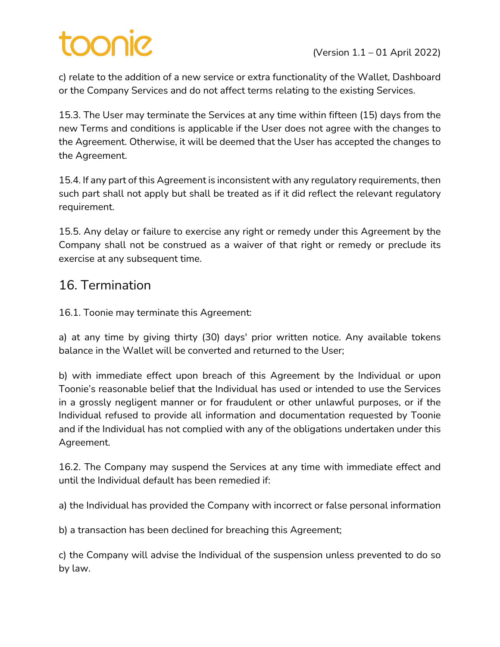# **OONIC**

c) relate to the addition of a new service or extra functionality of the Wallet, Dashboard or the Company Services and do not affect terms relating to the existing Services.

15.3. The User may terminate the Services at any time within fifteen (15) days from the new Terms and conditions is applicable if the User does not agree with the changes to the Agreement. Otherwise, it will be deemed that the User has accepted the changes to the Agreement.

15.4. If any part of this Agreement is inconsistent with any regulatory requirements, then such part shall not apply but shall be treated as if it did reflect the relevant regulatory requirement.

15.5. Any delay or failure to exercise any right or remedy under this Agreement by the Company shall not be construed as a waiver of that right or remedy or preclude its exercise at any subsequent time.

### 16. Termination

16.1. Toonie may terminate this Agreement:

a) at any time by giving thirty (30) days' prior written notice. Any available tokens balance in the Wallet will be converted and returned to the User;

b) with immediate effect upon breach of this Agreement by the Individual or upon Toonie's reasonable belief that the Individual has used or intended to use the Services in a grossly negligent manner or for fraudulent or other unlawful purposes, or if the Individual refused to provide all information and documentation requested by Toonie and if the Individual has not complied with any of the obligations undertaken under this Agreement.

16.2. The Company may suspend the Services at any time with immediate effect and until the Individual default has been remedied if:

a) the Individual has provided the Company with incorrect or false personal information

b) a transaction has been declined for breaching this Agreement;

c) the Company will advise the Individual of the suspension unless prevented to do so by law.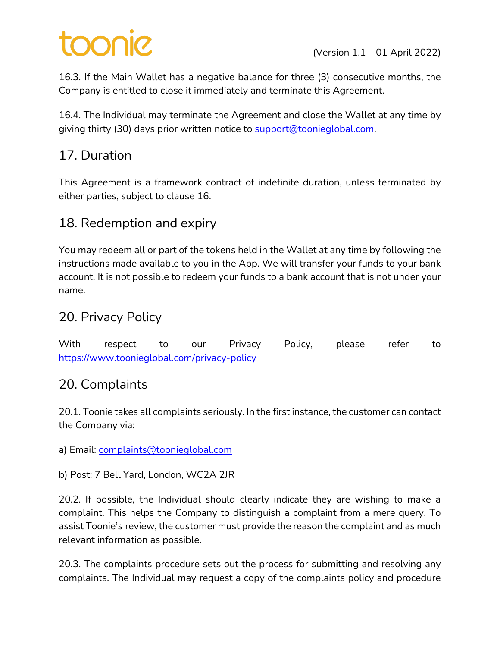16.3. If the Main Wallet has a negative balance for three (3) consecutive months, the Company is entitled to close it immediately and terminate this Agreement.

16.4. The Individual may terminate the Agreement and close the Wallet at any time by giving thirty (30) days prior written notice to support@toonieglobal.com.

# 17. Duration

This Agreement is a framework contract of indefinite duration, unless terminated by either parties, subject to clause 16.

### 18. Redemption and expiry

You may redeem all or part of the tokens held in the Wallet at any time by following the instructions made available to you in the App. We will transfer your funds to your bank account. It is not possible to redeem your funds to a bank account that is not under your name.

# 20. Privacy Policy

With respect to our Privacy Policy, please refer to https://www.toonieglobal.com/privacy-policy

### 20. Complaints

20.1. Toonie takes all complaints seriously. In the first instance, the customer can contact the Company via:

a) Email: complaints@toonieglobal.com

b) Post: 7 Bell Yard, London, WC2A 2JR

20.2. If possible, the Individual should clearly indicate they are wishing to make a complaint. This helps the Company to distinguish a complaint from a mere query. To assist Toonie's review, the customer must provide the reason the complaint and as much relevant information as possible.

20.3. The complaints procedure sets out the process for submitting and resolving any complaints. The Individual may request a copy of the complaints policy and procedure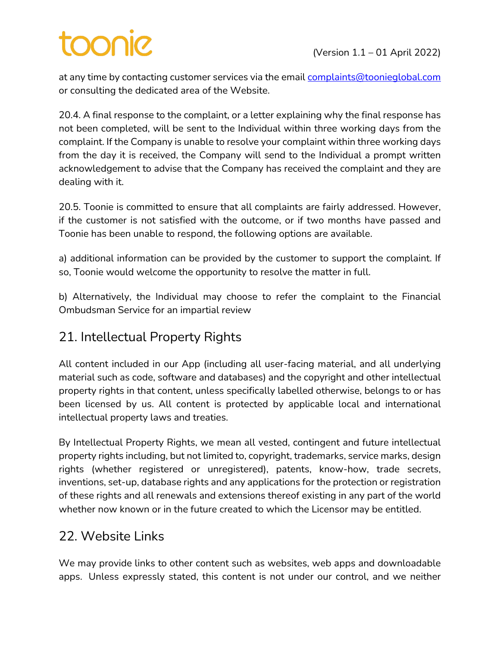# toonie

at any time by contacting customer services via the email complaints@toonieglobal.com or consulting the dedicated area of the Website.

20.4. A final response to the complaint, or a letter explaining why the final response has not been completed, will be sent to the Individual within three working days from the complaint. If the Company is unable to resolve your complaint within three working days from the day it is received, the Company will send to the Individual a prompt written acknowledgement to advise that the Company has received the complaint and they are dealing with it.

20.5. Toonie is committed to ensure that all complaints are fairly addressed. However, if the customer is not satisfied with the outcome, or if two months have passed and Toonie has been unable to respond, the following options are available.

a) additional information can be provided by the customer to support the complaint. If so, Toonie would welcome the opportunity to resolve the matter in full.

b) Alternatively, the Individual may choose to refer the complaint to the Financial Ombudsman Service for an impartial review

### 21. Intellectual Property Rights

All content included in our App (including all user-facing material, and all underlying material such as code, software and databases) and the copyright and other intellectual property rights in that content, unless specifically labelled otherwise, belongs to or has been licensed by us. All content is protected by applicable local and international intellectual property laws and treaties.

By Intellectual Property Rights, we mean all vested, contingent and future intellectual property rights including, but not limited to, copyright, trademarks, service marks, design rights (whether registered or unregistered), patents, know-how, trade secrets, inventions, set-up, database rights and any applications for the protection or registration of these rights and all renewals and extensions thereof existing in any part of the world whether now known or in the future created to which the Licensor may be entitled.

# 22. Website Links

We may provide links to other content such as websites, web apps and downloadable apps. Unless expressly stated, this content is not under our control, and we neither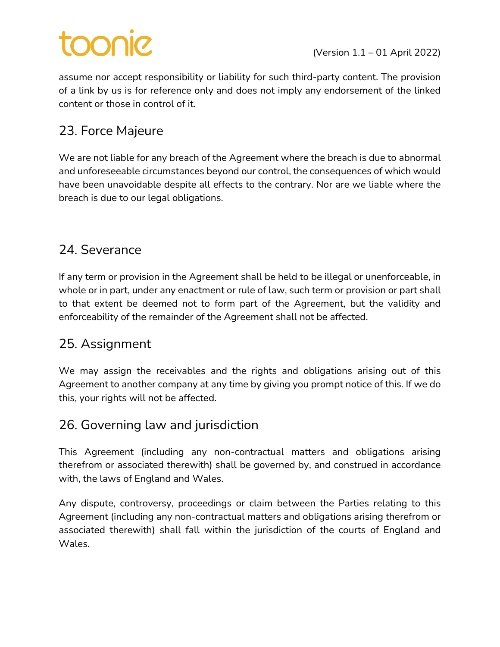# **DOOO**

assume nor accept responsibility or liability for such third-party content. The provision of a link by us is for reference only and does not imply any endorsement of the linked content or those in control of it.

# 23. Force Majeure

We are not liable for any breach of the Agreement where the breach is due to abnormal and unforeseeable circumstances beyond our control, the consequences of which would have been unavoidable despite all effects to the contrary. Nor are we liable where the breach is due to our legal obligations.

## 24. Severance

If any term or provision in the Agreement shall be held to be illegal or unenforceable, in whole or in part, under any enactment or rule of law, such term or provision or part shall to that extent be deemed not to form part of the Agreement, but the validity and enforceability of the remainder of the Agreement shall not be affected.

### 25. Assignment

We may assign the receivables and the rights and obligations arising out of this Agreement to another company at any time by giving you prompt notice of this. If we do this, your rights will not be affected.

# 26. Governing law and jurisdiction

This Agreement (including any non-contractual matters and obligations arising therefrom or associated therewith) shall be governed by, and construed in accordance with, the laws of England and Wales.

Any dispute, controversy, proceedings or claim between the Parties relating to this Agreement (including any non-contractual matters and obligations arising therefrom or associated therewith) shall fall within the jurisdiction of the courts of England and Wales.